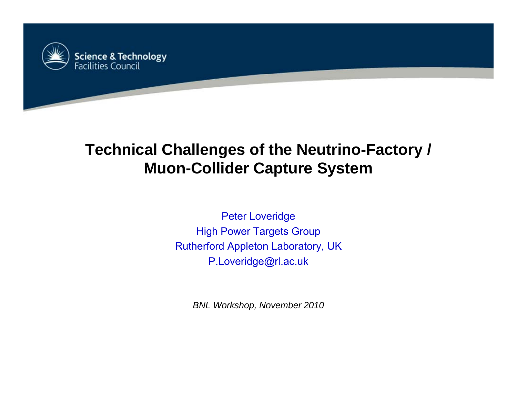

## **Technical Challenges of the Neutrino-Factory / Muon-Collider Ca p y ture S ystem**

Peter Loveridge High Power Targets Group Rutherford Appleton Laboratory, UK P.Loveridge@rl.ac.uk

*BNL Workshop, November 2010*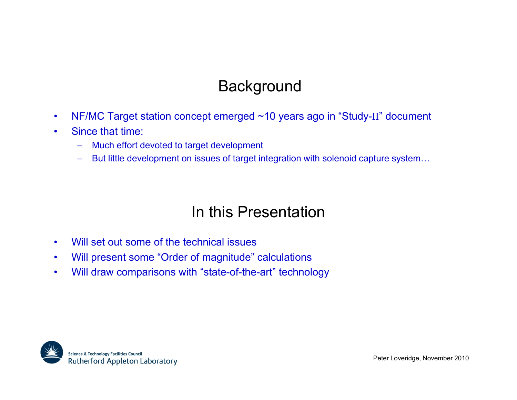# **Background**

- $\bullet$ NF/MC Target station concept emerged ~10 years ago in "Study-II" document
- • Since that time:
	- Much effort devoted to target development
	- But little development on issues of target integration with solenoid capture system…

### In this Presentation

- $\bullet$ Will set out some of the technical issues
- $\bullet$ Will present some "Order of magnitude" calculations
- $\bullet$ Will draw comparisons with "state-of-the-art" technology

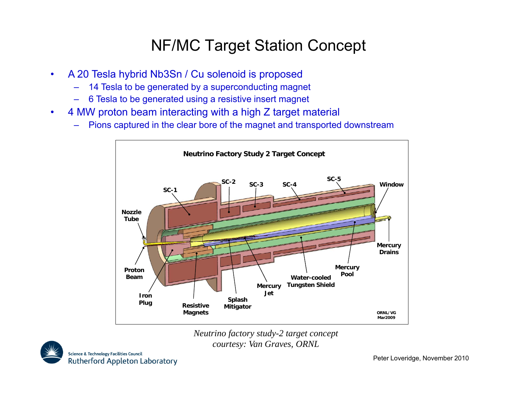## NF/MC Target Station Concept

- $\bullet$  A 20 Tesla hybrid Nb3Sn / Cu solenoid is proposed
	- 14 Tesla to be generated by a superconducting magnet
	- 6 Tesla to be generated using a resistive insert magnet
- • 4 MW proton beam interacting with a high Z target material
	- $\,$  Pions captured in the clear bore of the magnet and transported downstream



*Neutrino factory study-2 target concept courtesy: Van Graves, ORNL*

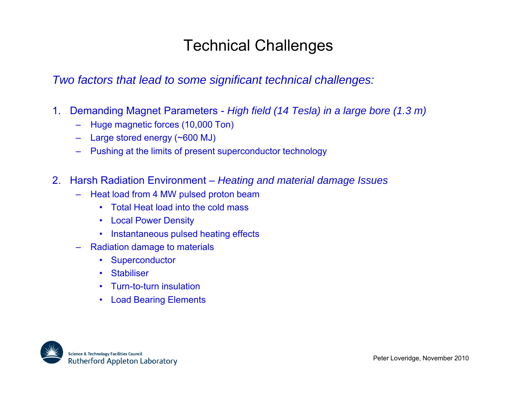# Technical Challenges

*Two factors that lead to some significant technical challenges:*

- 1. Demanding Magnet Parameters *High field (14 Tesla) in a large bore (1.3 m)*
	- Huge magnetic forces (10,000 Ton)
	- Large stored energy (~600 MJ)
	- Pushing at the limits of present superconductor technology
- 2. Harsh Radiation Environment *Heating and material damage Issues*
	- – Heat load from 4 MW pulsed proton beam
		- Total Heat load into the cold mass
		- Local Power Density
		- Instantaneous pulsed heating effects
	- Radiation damage to materials
		- •**Superconductor**
		- •**Stabiliser**
		- •Turn-to-turn insulation
		- •Load Bearing Elements

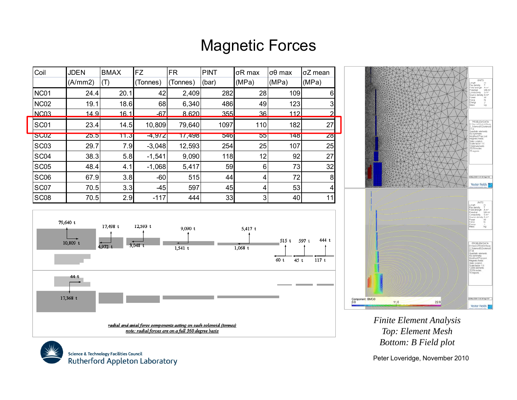### Magnetic Forces

| Coil             | <b>JDEN</b>                          | <b>BMAX</b> | <b>FZ</b> | <b>FR</b> | PINT  | σR max | $\sigma\theta$ max | σZ mean        |
|------------------|--------------------------------------|-------------|-----------|-----------|-------|--------|--------------------|----------------|
|                  | (A/mm 2)                             | (T)         | (Tonnes)  | (Tonnes)  | (bar) | (MPa)  | (MPa)              | (MPa)          |
| <b>NC01</b>      | 24.4                                 | 20.1        | 42        | 2,409     | 282   | 28     | 109                | 6              |
| <b>NC02</b>      | 19.1                                 | 18.6        | 68        | 6,340     | 486   | 49     | 123                | 3              |
| NC <sub>03</sub> | 14.9                                 | 16.1        | $-67$     | 8.620     | 355   | 36     | 112                | $\overline{2}$ |
| SC01             | 23.4                                 | 14.5        | 10,809    | 79,640    | 1097  | 110    | 182                | 27             |
| <b>SC02</b>      | 25.5                                 | 11.3        | $-4,972$  | 17,498    | 546   | 55     | 148                | 28             |
| SC <sub>03</sub> | 29.7                                 | 7.9         | $-3,048$  | 12,593    | 254   | 25     | 107                | 25             |
| SC04             | 38.3                                 | 5.8         | $-1,541$  | 9,090     | 118   | 12     | 92                 | 27             |
| <b>SC05</b>      | 48.4                                 | 4.1         | $-1,068$  | 5,417     | 59    | $6 \,$ | 73                 | 32             |
| SC <sub>06</sub> | 67.9                                 | 3.8         | $-60$     | 515       | 44    | 4      | 72                 | 8              |
| SC07             | 70.5                                 | 3.3         | $-45$     | 597       | 45    | 4      | 53                 | $\overline{a}$ |
| SC <sub>08</sub> | 70.5                                 | 2.9         | $-117$    | 444       | 33    | 3      | 40                 | 11             |
|                  |                                      |             |           |           |       |        |                    |                |
|                  | 79,640 t<br>$17.409 +$<br>$17.502 +$ |             |           |           |       |        |                    |                |







*Finite Element Analysis Top: Element Mesh Bottom: B Field plot*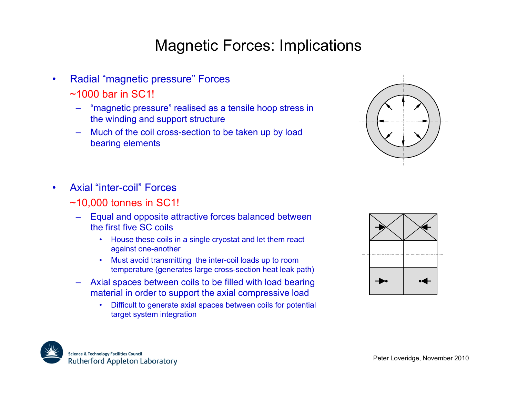## Magnetic Forces: Implications

- • Radial "magnetic pressure" Forces
	- ~1000 bar in SC1!
		- "magnetic pressure" realised as a tensile hoop stress in the winding and support structure
		- Much of the coil cross-section to be taken up by load bearing elements



- • Axial "inter-coil" Forces
	- ~10,000 tonnes in SC1!
		- Equal and opposite attractive forces balanced between the first five SC coils
			- House these coils in a single cryostat and let them react against one-another
			- Must avoid transmitting the inter-coil loads up to room temperature (generates large cross-section heat leak path)
		- Axial spaces between coils to be filled with load bearing material in order to support the axial compressive load
			- • Difficult to generate axial spaces between coils for potential target system integration



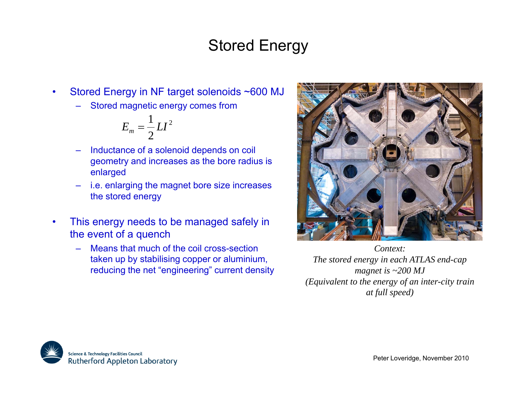# Stored Energy

- • Stored Energy in NF target solenoids ~600 MJ
	- Stored magnetic energy comes from

$$
E_m = \frac{1}{2}LI^2
$$

- Inductance of a solenoid depends on coil geometry and increases as the bore radius is enlarged
- i.e. enlarging the magnet bore size increases the stored energy
- • This energy needs to be managed safely in the event of a quench
	- Means that much of the coil cross-section taken up by stabilising copper or aluminium, reducing the net "engineering" current density  $_{mag}$



*Context:The stored energy in each ATLAS end-cap magnet is ~200 MJ (Equivalent to the energy of an inter-city train at full speed)*

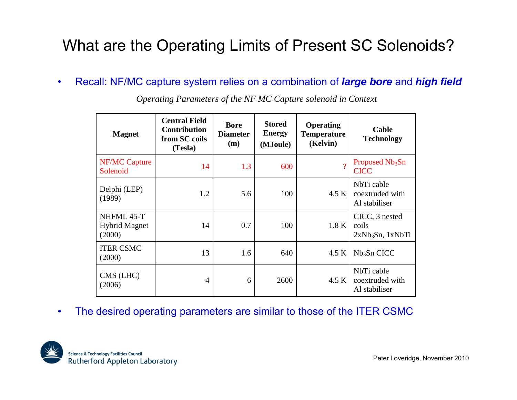# What are the Operating Limits of Present SC Solenoids?

•Recall: NF/MC capture system relies on a combination of *large bore* and *high field*

| <b>Magnet</b>                                | <b>Central Field</b><br><b>Contribution</b><br>from SC coils<br>(Tesla) | <b>Bore</b><br><b>Diameter</b><br>(m) | <b>Stored</b><br><b>Energy</b><br>(MJoule) | <b>Operating</b><br><b>Temperature</b><br>(Kelvin) | Cable<br><b>Technology</b>                      |
|----------------------------------------------|-------------------------------------------------------------------------|---------------------------------------|--------------------------------------------|----------------------------------------------------|-------------------------------------------------|
| <b>NF/MC Capture</b><br>Solenoid             | 14                                                                      | 1.3                                   | 600                                        | $\mathcal{P}$                                      | Proposed Nb <sub>3</sub> Sn<br><b>CICC</b>      |
| Delphi (LEP)<br>(1989)                       | 1.2                                                                     | 5.6                                   | 100                                        | 4.5 K                                              | NbTi cable<br>coextruded with<br>Al stabiliser  |
| NHFML 45-T<br><b>Hybrid Magnet</b><br>(2000) | 14                                                                      | 0.7                                   | 100                                        | 1.8 K                                              | CICC, 3 nested<br>coils<br>$2xNb3Sn$ , $1xNbTi$ |
| <b>ITER CSMC</b><br>(2000)                   | 13                                                                      | 1.6                                   | 640                                        | 4.5 K                                              | Nb <sub>3</sub> Sn CICC                         |
| CMS (LHC)<br>(2006)                          | 4                                                                       | 6                                     | 2600                                       | 4.5 K                                              | NbTi cable<br>coextruded with<br>Al stabiliser  |

*Operating Parameters of the NF MC Capture solenoid in Context*

•The desired operating parameters are similar to those of the ITER CSMC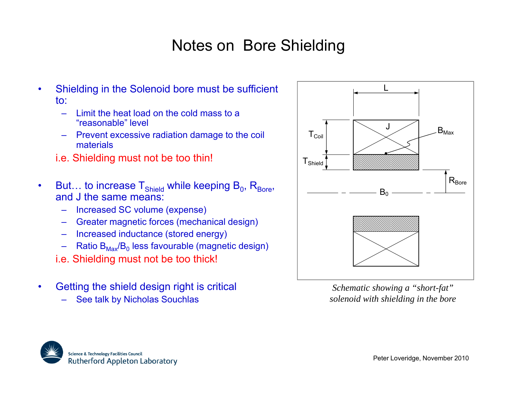# Notes on Bore Shielding

- • Shielding in the Solenoid bore must be sufficient to:
	- – Limit the heat load on the cold mass to a "reasonable" $\overline{1}$  level  $\overline{1}$   $\overline{1}$   $\overline{1}$   $\overline{1}$   $\overline{1}$   $\overline{1}$   $\overline{1}$   $\overline{1}$
	- – Prevent excessive radiation damage to the coil materials
	- i.e. Shielding must not be too thin!  $T_{\text{Shield}}$
- •But… to increase  ${\sf T}_{\sf shield}$  while keeping  ${\sf B}_{\sf 0},\,{\sf R}_{\sf Bore},\,$ and J the same means:
	- Increased SC volume (expense)
	- Greater magnetic forces (mechanical design)<br>– Increased inductance (stored energy)
	- Increased inductance (stored energy)
	- –Ratio B $_{\sf Max}/{\sf B}_0$  less favourable (magnetic design)
	- i.e. Shielding must not be too thick!
- • Getting the shield design right is critical
	- See talk by Nicholas Souchlas



*Schematic showing a "short-fat" solenoid with shielding in the bore*

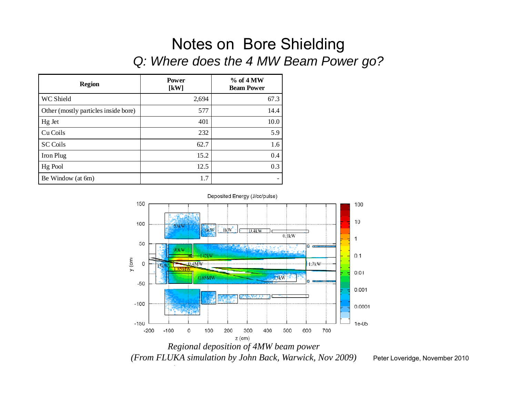#### Notes on Bore Shielding *Q: Where does the 4 MW Beam Power go?*

| <b>Region</b>                        | <b>Power</b><br>$\left[\mathrm{kW}\right]$ | $%$ of 4 MW<br><b>Beam Power</b> |
|--------------------------------------|--------------------------------------------|----------------------------------|
| WC Shield                            | 2,694                                      | 67.3                             |
| Other (mostly particles inside bore) | 577                                        | 14.4                             |
| Hg Jet                               | 401                                        | 10.0                             |
| Cu Coils                             | 232                                        | 5.9                              |
| <b>SC</b> Coils                      | 62.7                                       | 1.6                              |
| Iron Plug                            | 15.2                                       | 0.4                              |
| Hg Pool                              | 12.5                                       | 0.3                              |
| Be Window (at 6m)                    | 1.7                                        |                                  |



*(From FLUKA simulation by John Back, Warwick, Nov 2009)* Peter Loveridge, November 2010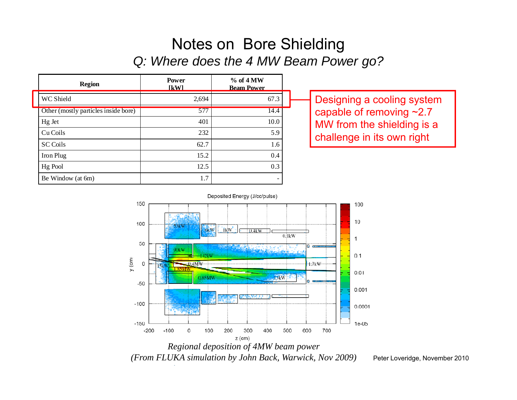#### Notes on Bore Shielding *Q: Where does the 4 MW Beam Power go?*

| <b>Region</b>                        | <b>Power</b><br><b>IKWI</b> | $%$ of 4 MW<br><b>Beam Power</b> |                                |
|--------------------------------------|-----------------------------|----------------------------------|--------------------------------|
| WC Shield                            | 2,694                       | 67.3                             | Designing a cooling systen     |
| Other (mostly particles inside bore) | 577                         | 14.4                             | capable of removing $\sim$ 2.7 |
| Hg Jet                               | 401                         | 10.0                             | MW from the shielding is a     |
| Cu Coils                             | 232                         | 5.9                              | challenge in its own right     |
| <b>SC Coils</b>                      | 62.7                        | 1.6                              |                                |
| Iron Plug                            | 15.2                        | 0.4                              |                                |
| Hg Pool                              | 12.5                        | 0.3                              |                                |
| Be Window (at 6m)                    | 1.7                         |                                  |                                |

Designing a cooling system capable of removing ~2.7 challenge in its own right



*(From FLUKA simulation by John Back, Warwick, Nov 2009)* Peter Loveridge, November 2010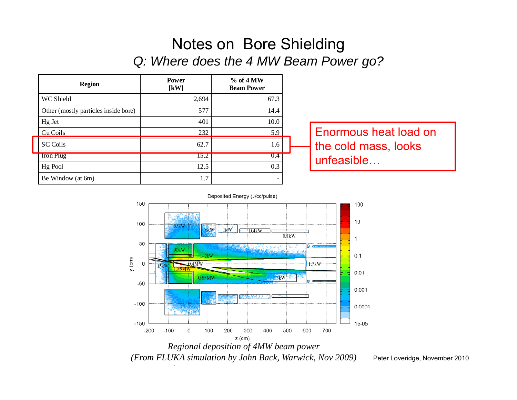#### Notes on Bore Shielding *Q: Where does the 4 MW Beam Power go?*





*(From FLUKA simulation by John Back, Warwick, Nov 2009)* Peter Loveridge, November 2010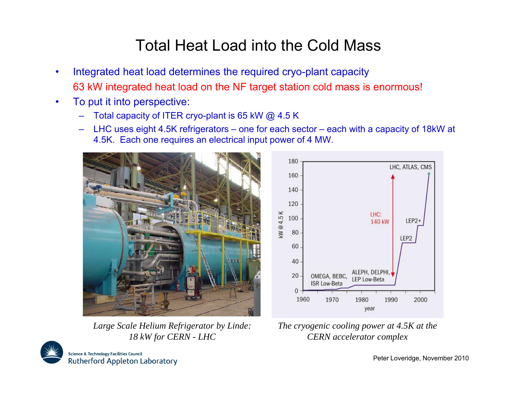## Total Heat Load into the Cold Mass

- •Integrated heat load determines the required cryo-plant capacity 63 kW integrated heat load on the NF target station cold mass is enormous!
- • To put it into perspective:
	- Total capacity of ITER cryo-plant is 65 kW @ 4.5 K
	- LHC uses eight 4.5K refrigerators one for each sector each with a capacity of 18kW at 4.5K. Each one requires an electrical input power of 4 MW.



*18 kW for CERN - LHC*



Large Scale Helium Refrigerator by Linde: The cryogenic cooling power at 4.5K at the *CERN accelerator complex*

**Science & Technology Facilities Council** Rutherford Appleton Laboratory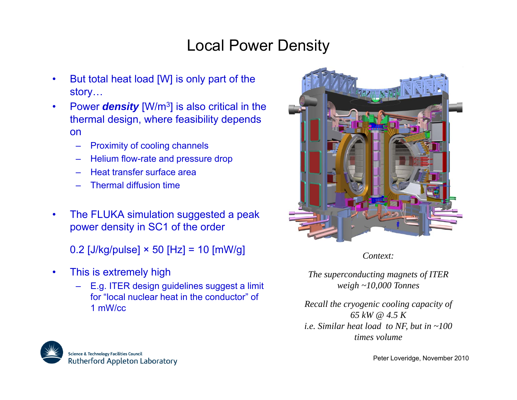## Local Power Density

- • But total heat load [W] is only part of the story…
- • Power *density* [W/m3] is also critical in the thermal design, where feasibility depends on
	- –Proximity of cooling channels
	- Helium flow-rate and pressure drop
	- Heat transfer surface area
	- Thermal diffusion time
- • The FLUKA simulation suggested a peak power density in SC1 of the order

0.2  $[J/kg/pulse] \times 50$  [Hz] = 10  $[mW/g]$ 

- • This is extremely high
	- E.g. ITER design guidelines suggest a limit for "local nuclear heat in the conductor" of 1 mW/cc



*Context:*

*The superconducting magnets of ITER*<br>E.g. ITER design guidelines suggest a limit weigh ~10,000 Tonnes

*Recall the cryogenic cooling capacity of 65 kW @ 4.5 Ki <sup>e</sup> Similar heat load to NF but in 100 i.e. NF, in ~100 times volume*

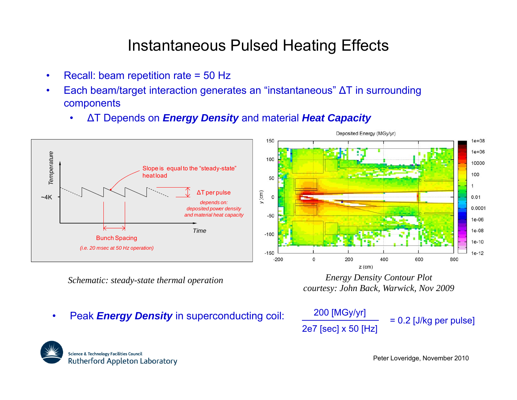### Instantaneous Pulsed Heating Effects

- •• Recall: beam repetition rate = 50 Hz
- • Each beam/target interaction generates an "instantaneous" ΔT in surrounding components
	- •ΔT Depends on *Energy Density* and material *Heat Capacity*



*Schematic: steady-state thermal operation*

*Energy Density Contour Plot otcourtesy: John Back, Warwick, Nov 2009*

•Peak **Energy Density** in superconducting coil:

$$
\frac{200 \text{ [MGy/yr]}}{2e7 \text{ [sec]} \times 50 \text{ [Hz]}} = 0.2 \text{ [J/kg per pulse]}
$$

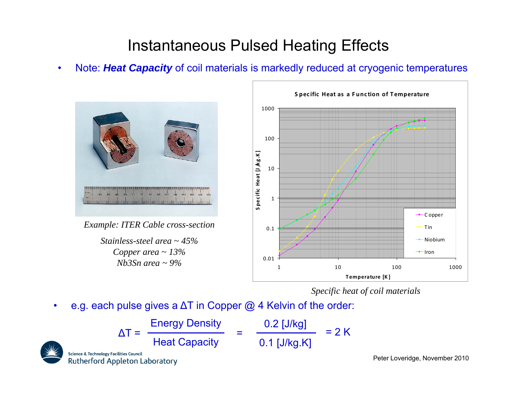## Instantaneous Pulsed Heating Effects

•Note: Heat Capacity of coil materials is markedly reduced at cryogenic temperatures



*Example: ITER Cable cross section ITER cross-sectionStainless-steel area ~ 45%*

*Copper area ~ 13% Nb3Sn area ~ 9%*



*Specific heat of coil materials*

•e.g. each pulse gives a  $\Delta \mathsf{T}$  in Copper @ 4 Kelvin of the order:

| $\Lambda$ T =                                                                               | <b>Energy Density</b> | $0.2$ [J/kg]   | $= 2 K$ |
|---------------------------------------------------------------------------------------------|-----------------------|----------------|---------|
|                                                                                             | <b>Heat Capacity</b>  | $0.1$ [J/kg.K] |         |
| <b>Science &amp; Technology Facilities Council</b><br><b>Rutherford Appleton Laboratory</b> |                       |                |         |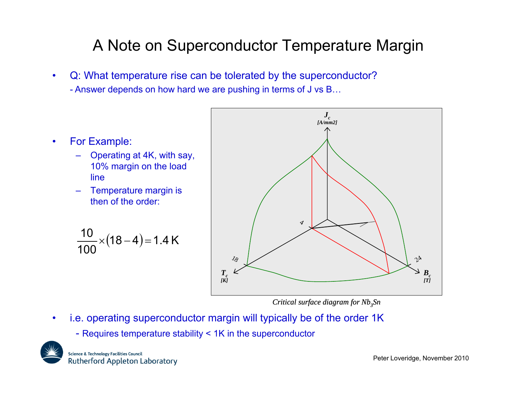# A Note on Superconductor Temperature Margin

- • Q: What temperature rise can be tolerated by the superconductor? - Answer depends on how hard we are pushing in terms of J vs B…
- • For Example:
	- Operating at 4K, with say, 10% margin on the load line
	- Temperature margin is then of the order:

$$
\frac{10}{100} \times (18-4) = 1.4 \text{ K}
$$



*Critical surface diagram for Nb<sub>3</sub>Sn* 

- • i.e. operating superconductor margin will typically be of the order 1K
	- Requires temperature stability < 1K in the superconductor



**Science & Technology Facilities Council** Rutherford Appleton Laboratory